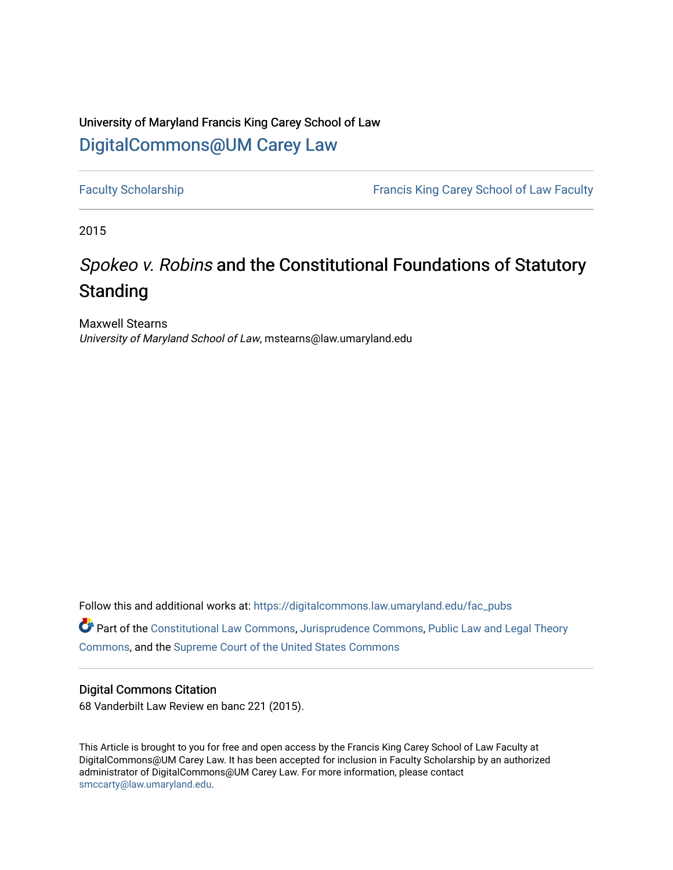### University of Maryland Francis King Carey School of Law [DigitalCommons@UM Carey Law](https://digitalcommons.law.umaryland.edu/)

[Faculty Scholarship](https://digitalcommons.law.umaryland.edu/fac_pubs) **Francis King Carey School of Law Faculty** 

2015

# Spokeo v. Robins and the Constitutional Foundations of Statutory Standing

Maxwell Stearns University of Maryland School of Law, mstearns@law.umaryland.edu

Follow this and additional works at: [https://digitalcommons.law.umaryland.edu/fac\\_pubs](https://digitalcommons.law.umaryland.edu/fac_pubs?utm_source=digitalcommons.law.umaryland.edu%2Ffac_pubs%2F1552&utm_medium=PDF&utm_campaign=PDFCoverPages) 

Part of the [Constitutional Law Commons,](http://network.bepress.com/hgg/discipline/589?utm_source=digitalcommons.law.umaryland.edu%2Ffac_pubs%2F1552&utm_medium=PDF&utm_campaign=PDFCoverPages) [Jurisprudence Commons](http://network.bepress.com/hgg/discipline/610?utm_source=digitalcommons.law.umaryland.edu%2Ffac_pubs%2F1552&utm_medium=PDF&utm_campaign=PDFCoverPages), [Public Law and Legal Theory](http://network.bepress.com/hgg/discipline/871?utm_source=digitalcommons.law.umaryland.edu%2Ffac_pubs%2F1552&utm_medium=PDF&utm_campaign=PDFCoverPages)  [Commons](http://network.bepress.com/hgg/discipline/871?utm_source=digitalcommons.law.umaryland.edu%2Ffac_pubs%2F1552&utm_medium=PDF&utm_campaign=PDFCoverPages), and the [Supreme Court of the United States Commons](http://network.bepress.com/hgg/discipline/1350?utm_source=digitalcommons.law.umaryland.edu%2Ffac_pubs%2F1552&utm_medium=PDF&utm_campaign=PDFCoverPages) 

### Digital Commons Citation

68 Vanderbilt Law Review en banc 221 (2015).

This Article is brought to you for free and open access by the Francis King Carey School of Law Faculty at DigitalCommons@UM Carey Law. It has been accepted for inclusion in Faculty Scholarship by an authorized administrator of DigitalCommons@UM Carey Law. For more information, please contact [smccarty@law.umaryland.edu](mailto:smccarty@law.umaryland.edu).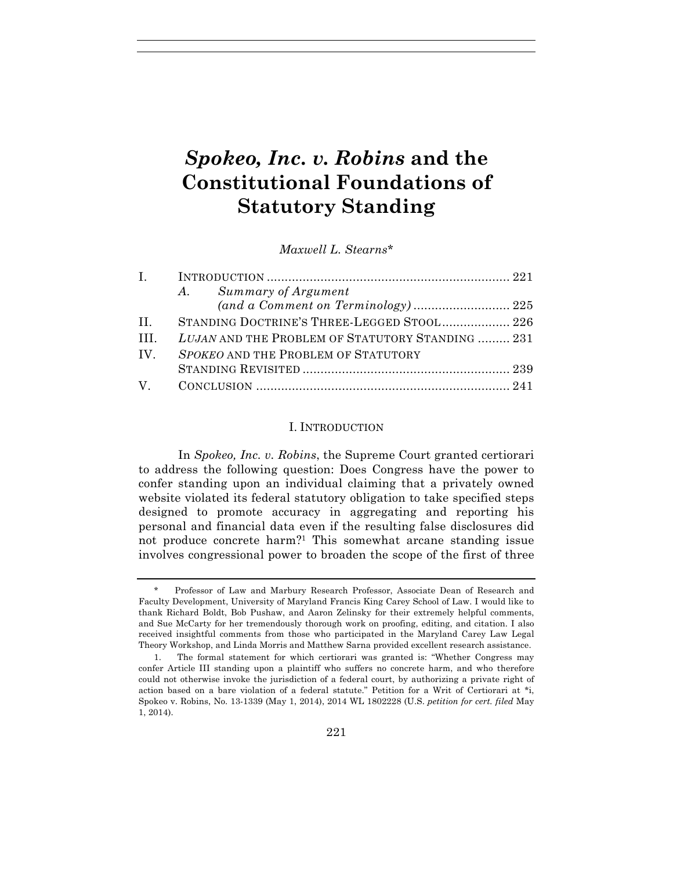## *Spokeo, Inc. v. Robins* **and the Constitutional Foundations of Statutory Standing**

*Maxwell L. Stearns\**

|          | A. Summary of Argument                           |  |
|----------|--------------------------------------------------|--|
|          |                                                  |  |
| $\Pi$ .  | STANDING DOCTRINE'S THREE-LEGGED STOOL 226       |  |
| $\Pi L$  | LUJAN AND THE PROBLEM OF STATUTORY STANDING  231 |  |
| $IV_{-}$ | SPOKEO AND THE PROBLEM OF STATUTORY              |  |
|          |                                                  |  |
|          |                                                  |  |

#### I. INTRODUCTION

In *Spokeo, Inc. v. Robins*, the Supreme Court granted certiorari to address the following question: Does Congress have the power to confer standing upon an individual claiming that a privately owned website violated its federal statutory obligation to take specified steps designed to promote accuracy in aggregating and reporting his personal and financial data even if the resulting false disclosures did not produce concrete harm?1 This somewhat arcane standing issue involves congressional power to broaden the scope of the first of three

<sup>\*</sup> Professor of Law and Marbury Research Professor, Associate Dean of Research and Faculty Development, University of Maryland Francis King Carey School of Law. I would like to thank Richard Boldt, Bob Pushaw, and Aaron Zelinsky for their extremely helpful comments, and Sue McCarty for her tremendously thorough work on proofing, editing, and citation. I also received insightful comments from those who participated in the Maryland Carey Law Legal Theory Workshop, and Linda Morris and Matthew Sarna provided excellent research assistance.

<sup>1.</sup> The formal statement for which certiorari was granted is: "Whether Congress may confer Article III standing upon a plaintiff who suffers no concrete harm, and who therefore could not otherwise invoke the jurisdiction of a federal court, by authorizing a private right of action based on a bare violation of a federal statute." Petition for a Writ of Certiorari at \*i, Spokeo v. Robins, No. 13-1339 (May 1, 2014), 2014 WL 1802228 (U.S. *petition for cert. filed* May 1, 2014).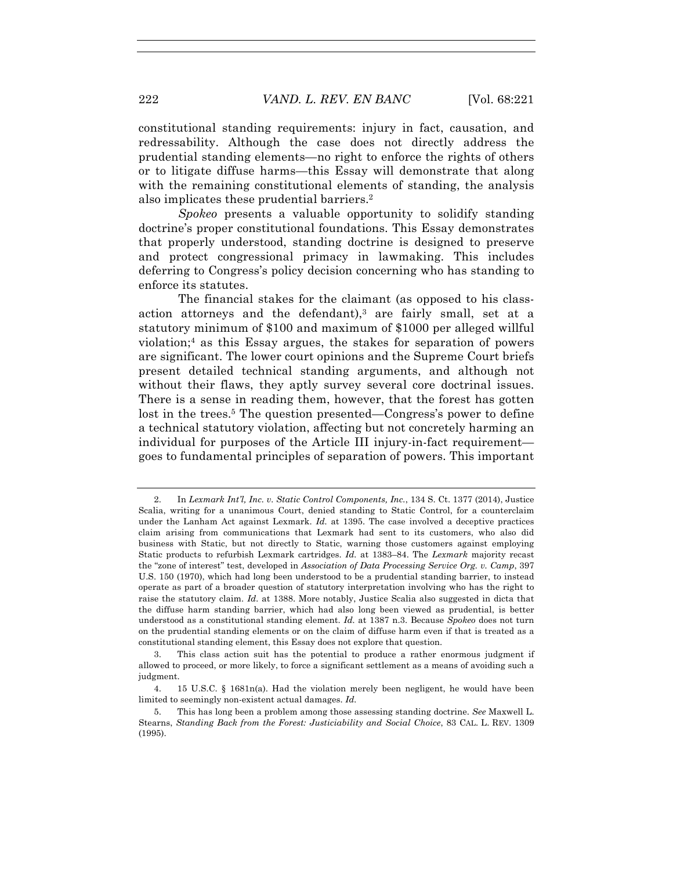constitutional standing requirements: injury in fact, causation, and redressability. Although the case does not directly address the prudential standing elements—no right to enforce the rights of others or to litigate diffuse harms—this Essay will demonstrate that along with the remaining constitutional elements of standing, the analysis also implicates these prudential barriers. 2

*Spokeo* presents a valuable opportunity to solidify standing doctrine's proper constitutional foundations. This Essay demonstrates that properly understood, standing doctrine is designed to preserve and protect congressional primacy in lawmaking. This includes deferring to Congress's policy decision concerning who has standing to enforce its statutes.

The financial stakes for the claimant (as opposed to his classaction attorneys and the defendant),<sup>3</sup> are fairly small, set at a statutory minimum of \$100 and maximum of \$1000 per alleged willful violation;4 as this Essay argues, the stakes for separation of powers are significant. The lower court opinions and the Supreme Court briefs present detailed technical standing arguments, and although not without their flaws, they aptly survey several core doctrinal issues. There is a sense in reading them, however, that the forest has gotten lost in the trees.<sup>5</sup> The question presented—Congress's power to define a technical statutory violation, affecting but not concretely harming an individual for purposes of the Article III injury-in-fact requirement goes to fundamental principles of separation of powers. This important

<sup>2.</sup> In *Lexmark Int'l, Inc. v. Static Control Components, Inc.*, 134 S. Ct. 1377 (2014), Justice Scalia, writing for a unanimous Court, denied standing to Static Control, for a counterclaim under the Lanham Act against Lexmark. *Id.* at 1395. The case involved a deceptive practices claim arising from communications that Lexmark had sent to its customers, who also did business with Static, but not directly to Static, warning those customers against employing Static products to refurbish Lexmark cartridges. *Id.* at 1383–84. The *Lexmark* majority recast the "zone of interest" test, developed in *Association of Data Processing Service Org. v. Camp*, 397 U.S. 150 (1970), which had long been understood to be a prudential standing barrier, to instead operate as part of a broader question of statutory interpretation involving who has the right to raise the statutory claim. *Id.* at 1388. More notably, Justice Scalia also suggested in dicta that the diffuse harm standing barrier, which had also long been viewed as prudential, is better understood as a constitutional standing element. *Id.* at 1387 n.3. Because *Spokeo* does not turn on the prudential standing elements or on the claim of diffuse harm even if that is treated as a constitutional standing element, this Essay does not explore that question.

<sup>3.</sup> This class action suit has the potential to produce a rather enormous judgment if allowed to proceed, or more likely, to force a significant settlement as a means of avoiding such a judgment.

<sup>4.</sup> 15 U.S.C. § 1681n(a). Had the violation merely been negligent, he would have been limited to seemingly non-existent actual damages. *Id.*

<sup>5.</sup> This has long been a problem among those assessing standing doctrine. *See* Maxwell L. Stearns, *Standing Back from the Forest: Justiciability and Social Choice*, 83 CAL. L. REV. 1309 (1995).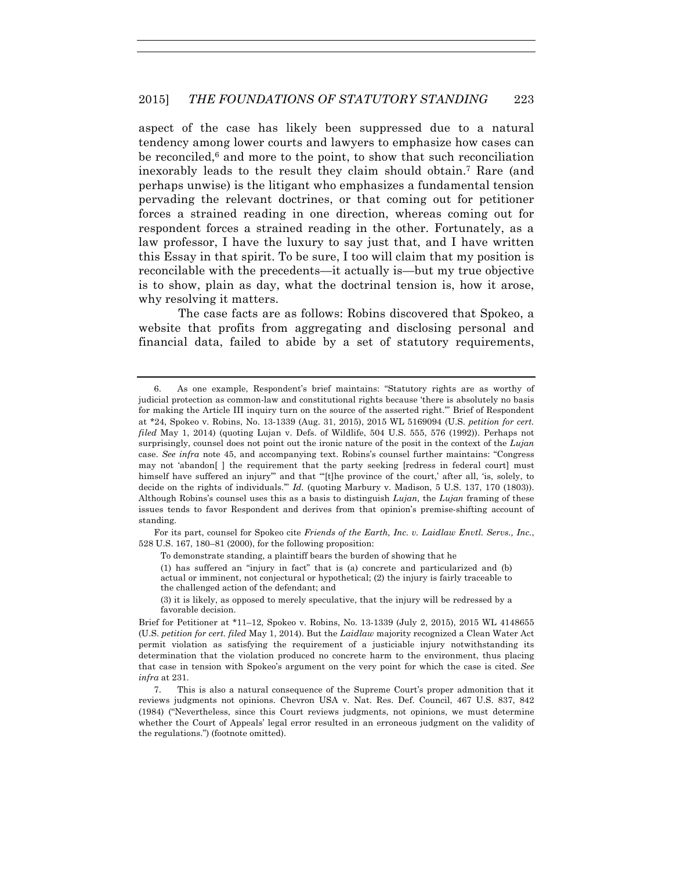aspect of the case has likely been suppressed due to a natural tendency among lower courts and lawyers to emphasize how cases can be reconciled, $6$  and more to the point, to show that such reconciliation inexorably leads to the result they claim should obtain.7 Rare (and perhaps unwise) is the litigant who emphasizes a fundamental tension pervading the relevant doctrines, or that coming out for petitioner forces a strained reading in one direction, whereas coming out for respondent forces a strained reading in the other. Fortunately, as a law professor, I have the luxury to say just that, and I have written this Essay in that spirit. To be sure, I too will claim that my position is reconcilable with the precedents—it actually is—but my true objective is to show, plain as day, what the doctrinal tension is, how it arose, why resolving it matters.

The case facts are as follows: Robins discovered that Spokeo, a website that profits from aggregating and disclosing personal and financial data, failed to abide by a set of statutory requirements,

For its part, counsel for Spokeo cite *Friends of the Earth, Inc. v. Laidlaw Envtl. Servs., Inc.*, 528 U.S. 167, 180–81 (2000), for the following proposition:

To demonstrate standing, a plaintiff bears the burden of showing that he

(3) it is likely, as opposed to merely speculative, that the injury will be redressed by a favorable decision.

7. This is also a natural consequence of the Supreme Court's proper admonition that it reviews judgments not opinions. Chevron USA v. Nat. Res. Def. Council, 467 U.S. 837, 842 (1984) ("Nevertheless, since this Court reviews judgments, not opinions, we must determine whether the Court of Appeals' legal error resulted in an erroneous judgment on the validity of the regulations.") (footnote omitted).

<sup>6.</sup> As one example, Respondent's brief maintains: "Statutory rights are as worthy of judicial protection as common-law and constitutional rights because 'there is absolutely no basis for making the Article III inquiry turn on the source of the asserted right.'" Brief of Respondent at \*24, Spokeo v. Robins, No. 13-1339 (Aug. 31, 2015), 2015 WL 5169094 (U.S. *petition for cert. filed* May 1, 2014) (quoting Lujan v. Defs. of Wildlife, 504 U.S. 555, 576 (1992)). Perhaps not surprisingly, counsel does not point out the ironic nature of the posit in the context of the *Lujan*  case. *See infra* note 45, and accompanying text. Robins's counsel further maintains: "Congress may not 'abandon[ ] the requirement that the party seeking [redress in federal court] must himself have suffered an injury" and that "[t]he province of the court,' after all, 'is, solely, to decide on the rights of individuals.'" *Id.* (quoting Marbury v. Madison, 5 U.S. 137, 170 (1803)). Although Robins's counsel uses this as a basis to distinguish *Lujan,* the *Lujan* framing of these issues tends to favor Respondent and derives from that opinion's premise-shifting account of standing*.*

<sup>(1)</sup> has suffered an "injury in fact" that is (a) concrete and particularized and (b) actual or imminent, not conjectural or hypothetical; (2) the injury is fairly traceable to the challenged action of the defendant; and

Brief for Petitioner at \*11–12, Spokeo v. Robins, No. 13-1339 (July 2, 2015), 2015 WL 4148655 (U.S. *petition for cert. filed* May 1, 2014). But the *Laidlaw* majority recognized a Clean Water Act permit violation as satisfying the requirement of a justiciable injury notwithstanding its determination that the violation produced no concrete harm to the environment, thus placing that case in tension with Spokeo's argument on the very point for which the case is cited. *See infra* at 231.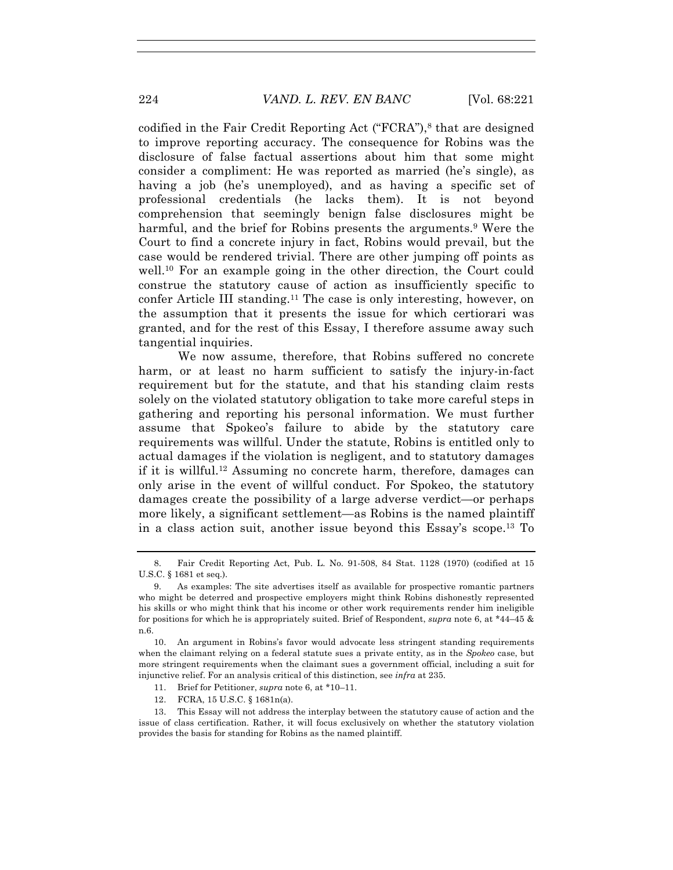codified in the Fair Credit Reporting Act  $("FCRA")$ ,<sup>8</sup> that are designed to improve reporting accuracy. The consequence for Robins was the disclosure of false factual assertions about him that some might consider a compliment: He was reported as married (he's single), as having a job (he's unemployed), and as having a specific set of professional credentials (he lacks them). It is not beyond comprehension that seemingly benign false disclosures might be harmful, and the brief for Robins presents the arguments.<sup>9</sup> Were the Court to find a concrete injury in fact, Robins would prevail, but the case would be rendered trivial. There are other jumping off points as well.<sup>10</sup> For an example going in the other direction, the Court could construe the statutory cause of action as insufficiently specific to confer Article III standing.11 The case is only interesting, however, on the assumption that it presents the issue for which certiorari was granted, and for the rest of this Essay, I therefore assume away such tangential inquiries.

We now assume, therefore, that Robins suffered no concrete harm, or at least no harm sufficient to satisfy the injury-in-fact requirement but for the statute, and that his standing claim rests solely on the violated statutory obligation to take more careful steps in gathering and reporting his personal information. We must further assume that Spokeo's failure to abide by the statutory care requirements was willful. Under the statute, Robins is entitled only to actual damages if the violation is negligent, and to statutory damages if it is willful.12 Assuming no concrete harm, therefore, damages can only arise in the event of willful conduct. For Spokeo, the statutory damages create the possibility of a large adverse verdict—or perhaps more likely, a significant settlement—as Robins is the named plaintiff in a class action suit, another issue beyond this Essay's scope.13 To

10. An argument in Robins's favor would advocate less stringent standing requirements when the claimant relying on a federal statute sues a private entity, as in the *Spokeo* case, but more stringent requirements when the claimant sues a government official, including a suit for injunctive relief. For an analysis critical of this distinction, see *infra* at 235.

- 11. Brief for Petitioner, *supra* note 6, at \*10–11.
- 12. FCRA, 15 U.S.C. § 1681n(a).

<sup>8.</sup> Fair Credit Reporting Act, Pub. L. No. 91-508, 84 Stat. 1128 (1970) (codified at 15 U.S.C. § 1681 et seq.).

<sup>9.</sup> As examples: The site advertises itself as available for prospective romantic partners who might be deterred and prospective employers might think Robins dishonestly represented his skills or who might think that his income or other work requirements render him ineligible for positions for which he is appropriately suited. Brief of Respondent, *supra* note 6, at \*44–45 & n.6.

<sup>13.</sup> This Essay will not address the interplay between the statutory cause of action and the issue of class certification. Rather, it will focus exclusively on whether the statutory violation provides the basis for standing for Robins as the named plaintiff.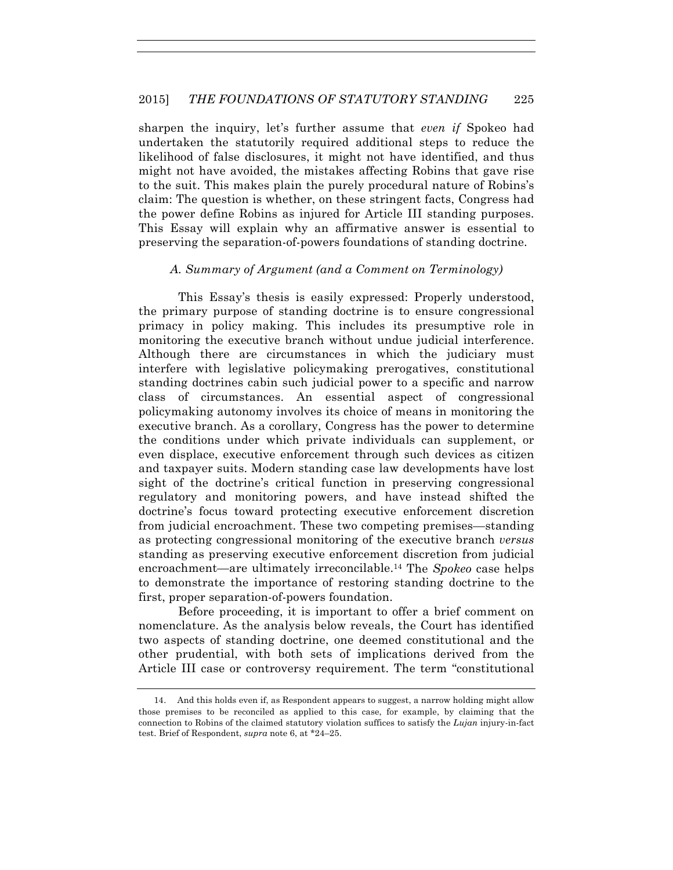sharpen the inquiry, let's further assume that *even if* Spokeo had undertaken the statutorily required additional steps to reduce the likelihood of false disclosures, it might not have identified, and thus might not have avoided, the mistakes affecting Robins that gave rise to the suit. This makes plain the purely procedural nature of Robins's claim: The question is whether, on these stringent facts, Congress had the power define Robins as injured for Article III standing purposes. This Essay will explain why an affirmative answer is essential to preserving the separation-of-powers foundations of standing doctrine.

#### *A. Summary of Argument (and a Comment on Terminology)*

This Essay's thesis is easily expressed: Properly understood, the primary purpose of standing doctrine is to ensure congressional primacy in policy making. This includes its presumptive role in monitoring the executive branch without undue judicial interference. Although there are circumstances in which the judiciary must interfere with legislative policymaking prerogatives, constitutional standing doctrines cabin such judicial power to a specific and narrow class of circumstances. An essential aspect of congressional policymaking autonomy involves its choice of means in monitoring the executive branch. As a corollary, Congress has the power to determine the conditions under which private individuals can supplement, or even displace, executive enforcement through such devices as citizen and taxpayer suits. Modern standing case law developments have lost sight of the doctrine's critical function in preserving congressional regulatory and monitoring powers, and have instead shifted the doctrine's focus toward protecting executive enforcement discretion from judicial encroachment. These two competing premises—standing as protecting congressional monitoring of the executive branch *versus* standing as preserving executive enforcement discretion from judicial encroachment—are ultimately irreconcilable.14 The *Spokeo* case helps to demonstrate the importance of restoring standing doctrine to the first, proper separation-of-powers foundation.

Before proceeding, it is important to offer a brief comment on nomenclature. As the analysis below reveals, the Court has identified two aspects of standing doctrine, one deemed constitutional and the other prudential, with both sets of implications derived from the Article III case or controversy requirement. The term "constitutional

<sup>14.</sup> And this holds even if, as Respondent appears to suggest, a narrow holding might allow those premises to be reconciled as applied to this case, for example, by claiming that the connection to Robins of the claimed statutory violation suffices to satisfy the *Lujan* injury-in-fact test. Brief of Respondent, *supra* note 6, at \*24–25.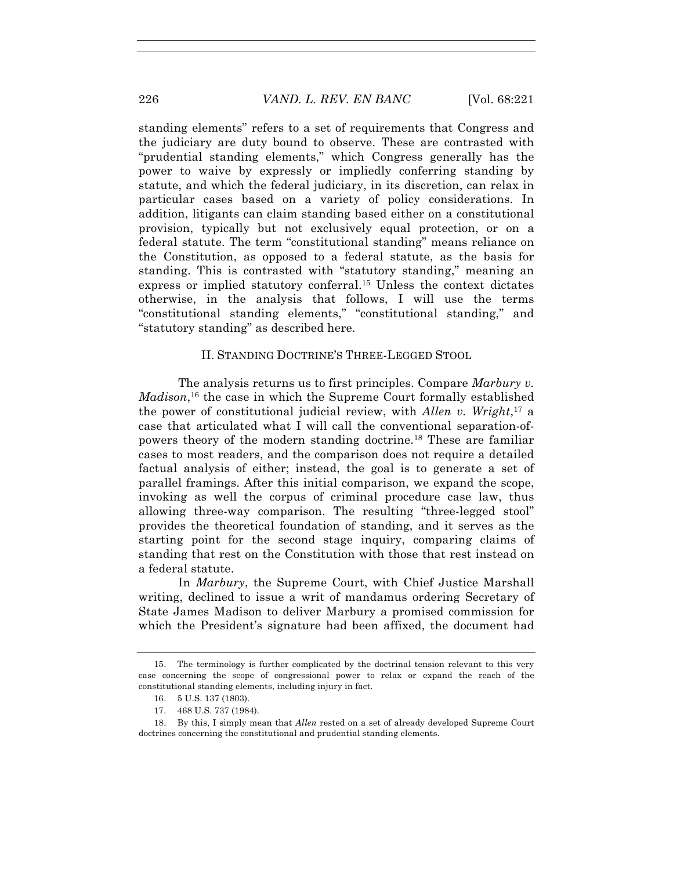standing elements" refers to a set of requirements that Congress and the judiciary are duty bound to observe. These are contrasted with "prudential standing elements," which Congress generally has the power to waive by expressly or impliedly conferring standing by statute, and which the federal judiciary, in its discretion, can relax in particular cases based on a variety of policy considerations. In addition, litigants can claim standing based either on a constitutional provision, typically but not exclusively equal protection, or on a federal statute. The term "constitutional standing" means reliance on the Constitution, as opposed to a federal statute, as the basis for standing. This is contrasted with "statutory standing," meaning an express or implied statutory conferral.<sup>15</sup> Unless the context dictates otherwise, in the analysis that follows, I will use the terms "constitutional standing elements," "constitutional standing," and "statutory standing" as described here.

#### II. STANDING DOCTRINE'S THREE-LEGGED STOOL

The analysis returns us to first principles. Compare *Marbury v. Madison*, <sup>16</sup> the case in which the Supreme Court formally established the power of constitutional judicial review, with *Allen v. Wright*, <sup>17</sup> a case that articulated what I will call the conventional separation-ofpowers theory of the modern standing doctrine.18 These are familiar cases to most readers, and the comparison does not require a detailed factual analysis of either; instead, the goal is to generate a set of parallel framings. After this initial comparison, we expand the scope, invoking as well the corpus of criminal procedure case law, thus allowing three-way comparison. The resulting "three-legged stool" provides the theoretical foundation of standing, and it serves as the starting point for the second stage inquiry, comparing claims of standing that rest on the Constitution with those that rest instead on a federal statute.

In *Marbury*, the Supreme Court, with Chief Justice Marshall writing, declined to issue a writ of mandamus ordering Secretary of State James Madison to deliver Marbury a promised commission for which the President's signature had been affixed, the document had

<sup>15.</sup> The terminology is further complicated by the doctrinal tension relevant to this very case concerning the scope of congressional power to relax or expand the reach of the constitutional standing elements, including injury in fact.

<sup>16.</sup> 5 U.S. 137 (1803).

<sup>17.</sup> 468 U.S. 737 (1984).

<sup>18.</sup> By this, I simply mean that *Allen* rested on a set of already developed Supreme Court doctrines concerning the constitutional and prudential standing elements.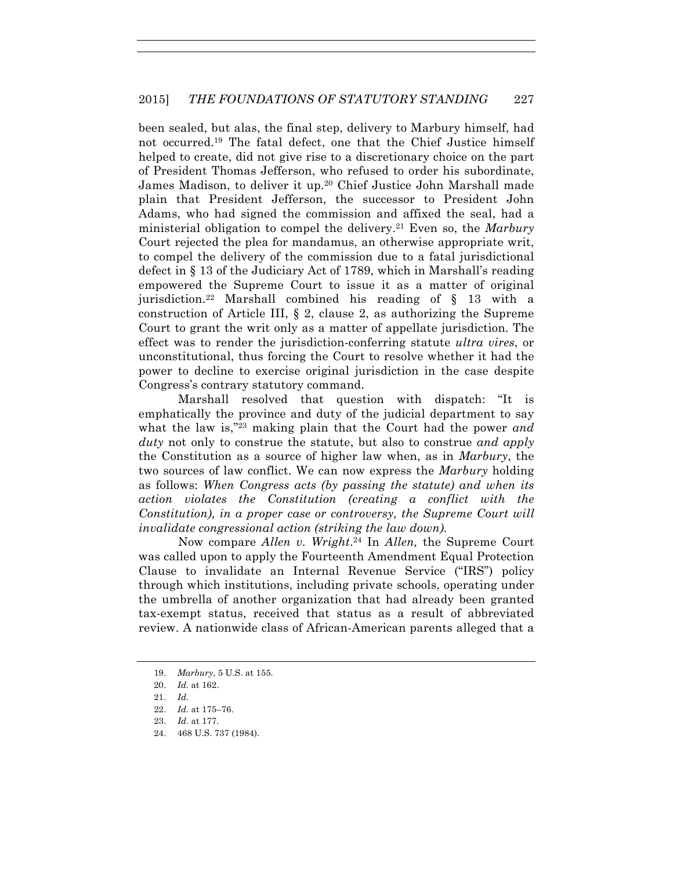been sealed, but alas, the final step, delivery to Marbury himself, had not occurred.19 The fatal defect, one that the Chief Justice himself helped to create, did not give rise to a discretionary choice on the part of President Thomas Jefferson, who refused to order his subordinate, James Madison, to deliver it up.<sup>20</sup> Chief Justice John Marshall made plain that President Jefferson, the successor to President John Adams, who had signed the commission and affixed the seal, had a ministerial obligation to compel the delivery.21 Even so, the *Marbury*  Court rejected the plea for mandamus, an otherwise appropriate writ, to compel the delivery of the commission due to a fatal jurisdictional defect in § 13 of the Judiciary Act of 1789, which in Marshall's reading empowered the Supreme Court to issue it as a matter of original jurisdiction.22 Marshall combined his reading of § 13 with a construction of Article III, § 2, clause 2, as authorizing the Supreme Court to grant the writ only as a matter of appellate jurisdiction. The effect was to render the jurisdiction-conferring statute *ultra vires*, or unconstitutional, thus forcing the Court to resolve whether it had the power to decline to exercise original jurisdiction in the case despite Congress's contrary statutory command.

Marshall resolved that question with dispatch: "It is emphatically the province and duty of the judicial department to say what the law is,"23 making plain that the Court had the power *and duty* not only to construe the statute, but also to construe *and apply*  the Constitution as a source of higher law when, as in *Marbury*, the two sources of law conflict. We can now express the *Marbury* holding as follows: *When Congress acts (by passing the statute) and when its action violates the Constitution (creating a conflict with the Constitution), in a proper case or controversy, the Supreme Court will invalidate congressional action (striking the law down).*

Now compare *Allen v. Wright*. <sup>24</sup> In *Allen,* the Supreme Court was called upon to apply the Fourteenth Amendment Equal Protection Clause to invalidate an Internal Revenue Service ("IRS") policy through which institutions, including private schools, operating under the umbrella of another organization that had already been granted tax-exempt status, received that status as a result of abbreviated review. A nationwide class of African-American parents alleged that a

24. 468 U.S. 737 (1984).

<sup>19.</sup> *Marbury*, 5 U.S. at 155.

<sup>20.</sup> *Id.* at 162.

<sup>21.</sup> *Id.*

<sup>22.</sup> *Id.* at 175–76.

<sup>23.</sup> *Id.* at 177.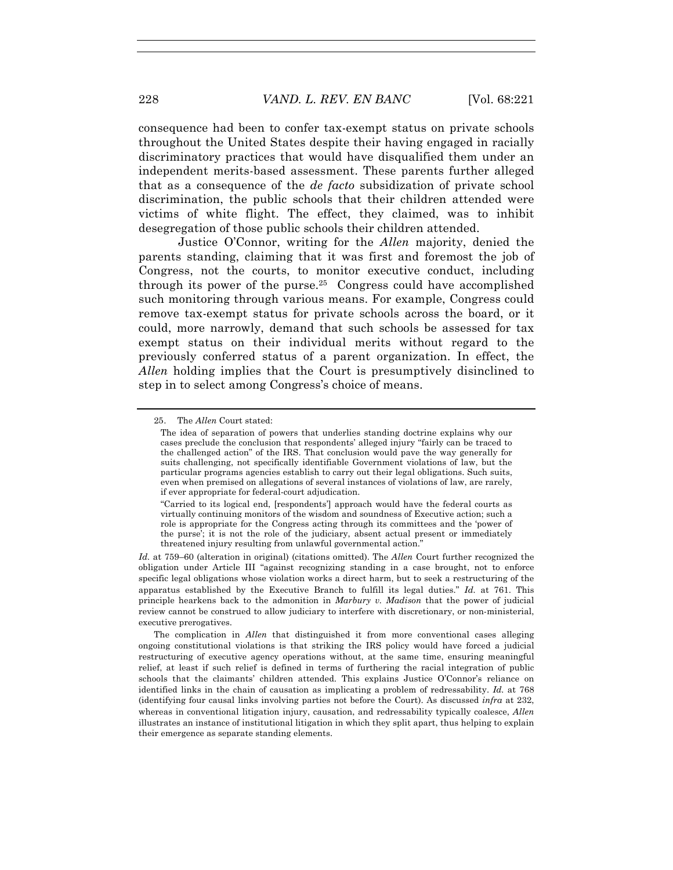consequence had been to confer tax-exempt status on private schools throughout the United States despite their having engaged in racially discriminatory practices that would have disqualified them under an independent merits-based assessment. These parents further alleged that as a consequence of the *de facto* subsidization of private school discrimination, the public schools that their children attended were victims of white flight. The effect, they claimed, was to inhibit desegregation of those public schools their children attended.

Justice O'Connor, writing for the *Allen* majority, denied the parents standing, claiming that it was first and foremost the job of Congress, not the courts, to monitor executive conduct, including through its power of the purse.<sup>25</sup> Congress could have accomplished such monitoring through various means. For example, Congress could remove tax-exempt status for private schools across the board, or it could, more narrowly, demand that such schools be assessed for tax exempt status on their individual merits without regard to the previously conferred status of a parent organization. In effect, the *Allen* holding implies that the Court is presumptively disinclined to step in to select among Congress's choice of means.

*Id.* at 759–60 (alteration in original) (citations omitted). The *Allen* Court further recognized the obligation under Article III "against recognizing standing in a case brought, not to enforce specific legal obligations whose violation works a direct harm, but to seek a restructuring of the apparatus established by the Executive Branch to fulfill its legal duties." *Id.* at 761. This principle hearkens back to the admonition in *Marbury v. Madison* that the power of judicial review cannot be construed to allow judiciary to interfere with discretionary, or non-ministerial, executive prerogatives.

The complication in *Allen* that distinguished it from more conventional cases alleging ongoing constitutional violations is that striking the IRS policy would have forced a judicial restructuring of executive agency operations without, at the same time, ensuring meaningful relief, at least if such relief is defined in terms of furthering the racial integration of public schools that the claimants' children attended. This explains Justice O'Connor's reliance on identified links in the chain of causation as implicating a problem of redressability. *Id.* at 768 (identifying four causal links involving parties not before the Court). As discussed *infra* at 232, whereas in conventional litigation injury, causation, and redressability typically coalesce, *Allen*  illustrates an instance of institutional litigation in which they split apart, thus helping to explain their emergence as separate standing elements.

<sup>25.</sup> The *Allen* Court stated:

The idea of separation of powers that underlies standing doctrine explains why our cases preclude the conclusion that respondents' alleged injury "fairly can be traced to the challenged action" of the IRS. That conclusion would pave the way generally for suits challenging, not specifically identifiable Government violations of law, but the particular programs agencies establish to carry out their legal obligations. Such suits, even when premised on allegations of several instances of violations of law, are rarely, if ever appropriate for federal-court adjudication.

<sup>&</sup>quot;Carried to its logical end, [respondents'] approach would have the federal courts as virtually continuing monitors of the wisdom and soundness of Executive action; such a role is appropriate for the Congress acting through its committees and the 'power of the purse'; it is not the role of the judiciary, absent actual present or immediately threatened injury resulting from unlawful governmental action."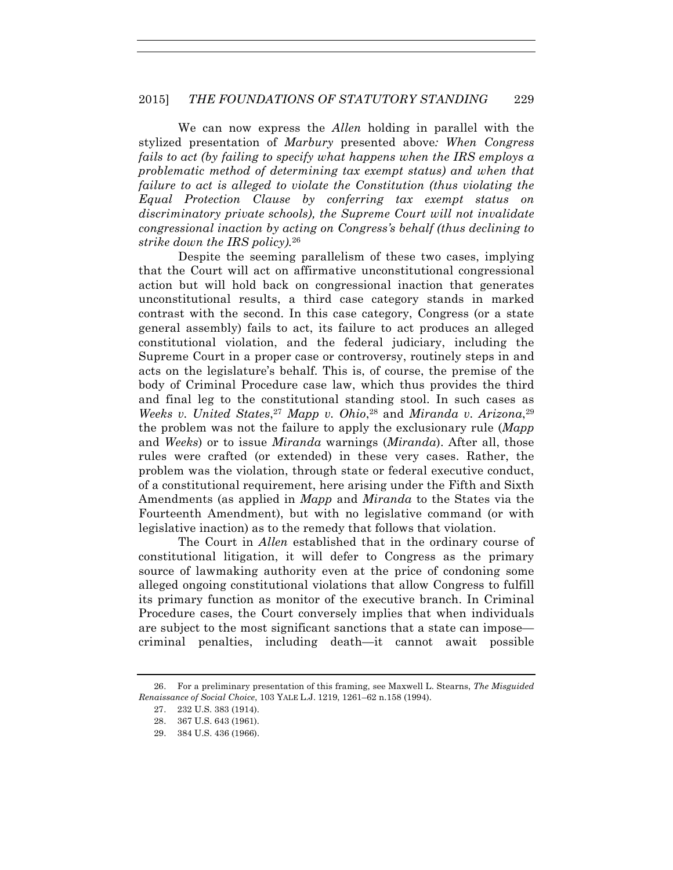We can now express the *Allen* holding in parallel with the stylized presentation of *Marbury* presented above*: When Congress fails to act (by failing to specify what happens when the IRS employs a problematic method of determining tax exempt status) and when that failure to act is alleged to violate the Constitution (thus violating the Equal Protection Clause by conferring tax exempt status on discriminatory private schools), the Supreme Court will not invalidate congressional inaction by acting on Congress's behalf (thus declining to strike down the IRS policy).*<sup>26</sup>

Despite the seeming parallelism of these two cases, implying that the Court will act on affirmative unconstitutional congressional action but will hold back on congressional inaction that generates unconstitutional results, a third case category stands in marked contrast with the second. In this case category, Congress (or a state general assembly) fails to act, its failure to act produces an alleged constitutional violation, and the federal judiciary, including the Supreme Court in a proper case or controversy, routinely steps in and acts on the legislature's behalf. This is, of course, the premise of the body of Criminal Procedure case law, which thus provides the third and final leg to the constitutional standing stool. In such cases as *Weeks v. United States*, <sup>27</sup> *Mapp v. Ohio*, <sup>28</sup> and *Miranda v. Arizona*,29 the problem was not the failure to apply the exclusionary rule (*Mapp* and *Weeks*) or to issue *Miranda* warnings (*Miranda*). After all, those rules were crafted (or extended) in these very cases. Rather, the problem was the violation, through state or federal executive conduct, of a constitutional requirement, here arising under the Fifth and Sixth Amendments (as applied in *Mapp* and *Miranda* to the States via the Fourteenth Amendment), but with no legislative command (or with legislative inaction) as to the remedy that follows that violation.

The Court in *Allen* established that in the ordinary course of constitutional litigation, it will defer to Congress as the primary source of lawmaking authority even at the price of condoning some alleged ongoing constitutional violations that allow Congress to fulfill its primary function as monitor of the executive branch. In Criminal Procedure cases, the Court conversely implies that when individuals are subject to the most significant sanctions that a state can impose criminal penalties, including death—it cannot await possible

<sup>26.</sup> For a preliminary presentation of this framing, see Maxwell L. Stearns, *The Misguided Renaissance of Social Choice*, 103 YALE L.J. 1219, 1261–62 n.158 (1994).

<sup>27.</sup> 232 U.S. 383 (1914).

<sup>28.</sup> 367 U.S. 643 (1961).

<sup>29.</sup> 384 U.S. 436 (1966).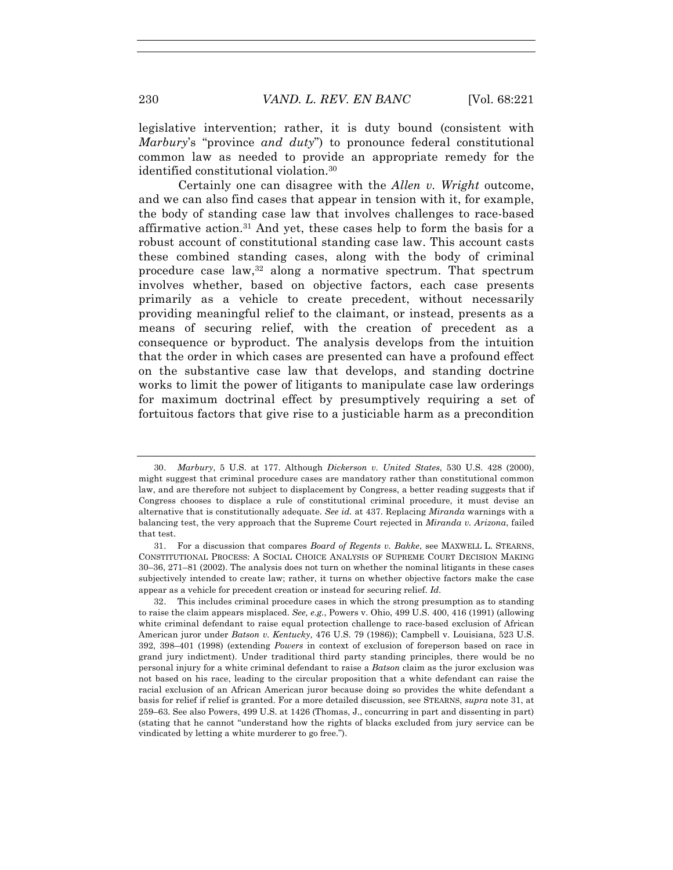legislative intervention; rather, it is duty bound (consistent with *Marbury*'s "province *and duty*") to pronounce federal constitutional common law as needed to provide an appropriate remedy for the identified constitutional violation.30

Certainly one can disagree with the *Allen v. Wright* outcome, and we can also find cases that appear in tension with it, for example, the body of standing case law that involves challenges to race-based affirmative action.<sup>31</sup> And yet, these cases help to form the basis for a robust account of constitutional standing case law. This account casts these combined standing cases, along with the body of criminal procedure case law,32 along a normative spectrum. That spectrum involves whether, based on objective factors, each case presents primarily as a vehicle to create precedent, without necessarily providing meaningful relief to the claimant, or instead, presents as a means of securing relief, with the creation of precedent as a consequence or byproduct. The analysis develops from the intuition that the order in which cases are presented can have a profound effect on the substantive case law that develops, and standing doctrine works to limit the power of litigants to manipulate case law orderings for maximum doctrinal effect by presumptively requiring a set of fortuitous factors that give rise to a justiciable harm as a precondition

<sup>30.</sup> *Marbury*, 5 U.S. at 177. Although *Dickerson v. United States*, 530 U.S. 428 (2000), might suggest that criminal procedure cases are mandatory rather than constitutional common law, and are therefore not subject to displacement by Congress, a better reading suggests that if Congress chooses to displace a rule of constitutional criminal procedure, it must devise an alternative that is constitutionally adequate. *See id.* at 437. Replacing *Miranda* warnings with a balancing test, the very approach that the Supreme Court rejected in *Miranda v. Arizona*, failed that test.

<sup>31.</sup> For a discussion that compares *Board of Regents v. Bakke*, see MAXWELL L. STEARNS, CONSTITUTIONAL PROCESS: A SOCIAL CHOICE ANALYSIS OF SUPREME COURT DECISION MAKING 30–36, 271–81 (2002). The analysis does not turn on whether the nominal litigants in these cases subjectively intended to create law; rather, it turns on whether objective factors make the case appear as a vehicle for precedent creation or instead for securing relief. *Id.*

<sup>32.</sup> This includes criminal procedure cases in which the strong presumption as to standing to raise the claim appears misplaced. *See, e.g.*, Powers v. Ohio, 499 U.S. 400, 416 (1991) (allowing white criminal defendant to raise equal protection challenge to race-based exclusion of African American juror under *Batson v. Kentucky*, 476 U.S. 79 (1986)); Campbell v. Louisiana, 523 U.S. 392, 398–401 (1998) (extending *Powers* in context of exclusion of foreperson based on race in grand jury indictment). Under traditional third party standing principles, there would be no personal injury for a white criminal defendant to raise a *Batson* claim as the juror exclusion was not based on his race, leading to the circular proposition that a white defendant can raise the racial exclusion of an African American juror because doing so provides the white defendant a basis for relief if relief is granted. For a more detailed discussion, see STEARNS, *supra* note 31, at 259–63. See also Powers, 499 U.S. at 1426 (Thomas, J., concurring in part and dissenting in part) (stating that he cannot "understand how the rights of blacks excluded from jury service can be vindicated by letting a white murderer to go free.").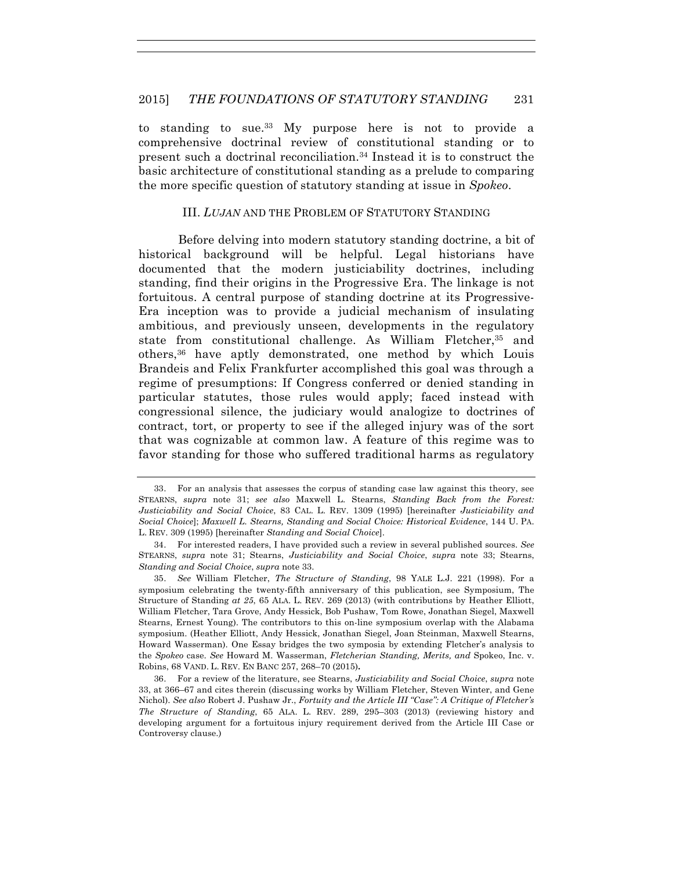to standing to sue.33 My purpose here is not to provide a comprehensive doctrinal review of constitutional standing or to present such a doctrinal reconciliation.34 Instead it is to construct the basic architecture of constitutional standing as a prelude to comparing the more specific question of statutory standing at issue in *Spokeo*.

#### III. *LUJAN* AND THE PROBLEM OF STATUTORY STANDING

Before delving into modern statutory standing doctrine, a bit of historical background will be helpful. Legal historians have documented that the modern justiciability doctrines, including standing, find their origins in the Progressive Era. The linkage is not fortuitous. A central purpose of standing doctrine at its Progressive-Era inception was to provide a judicial mechanism of insulating ambitious, and previously unseen, developments in the regulatory state from constitutional challenge. As William Fletcher,<sup>35</sup> and others,36 have aptly demonstrated, one method by which Louis Brandeis and Felix Frankfurter accomplished this goal was through a regime of presumptions: If Congress conferred or denied standing in particular statutes, those rules would apply; faced instead with congressional silence, the judiciary would analogize to doctrines of contract, tort, or property to see if the alleged injury was of the sort that was cognizable at common law. A feature of this regime was to favor standing for those who suffered traditional harms as regulatory

<sup>33.</sup> For an analysis that assesses the corpus of standing case law against this theory, see STEARNS, *supra* note 31; *see also* Maxwell L. Stearns, *Standing Back from the Forest: Justiciability and Social Choice*, 83 CAL. L. REV. 1309 (1995) [hereinafter *Justiciability and Social Choice*]; *Maxwell L. Stearns, Standing and Social Choice: Historical Evidence*, 144 U. PA. L. REV. 309 (1995) [hereinafter *Standing and Social Choice*].

<sup>34.</sup> For interested readers, I have provided such a review in several published sources. *See* STEARNS, *supra* note 31; Stearns, *Justiciability and Social Choice*, *supra* note 33; Stearns, *Standing and Social Choice*, *supra* note 33.

<sup>35.</sup> *See* William Fletcher, *The Structure of Standing*, 98 YALE L.J. 221 (1998). For a symposium celebrating the twenty-fifth anniversary of this publication, see Symposium, The Structure of Standing *at 25*, 65 ALA. L. REV. 269 (2013) (with contributions by Heather Elliott, William Fletcher, Tara Grove, Andy Hessick, Bob Pushaw, Tom Rowe, Jonathan Siegel, Maxwell Stearns, Ernest Young). The contributors to this on-line symposium overlap with the Alabama symposium. (Heather Elliott, Andy Hessick, Jonathan Siegel, Joan Steinman, Maxwell Stearns, Howard Wasserman). One Essay bridges the two symposia by extending Fletcher's analysis to the *Spokeo* case. *See* Howard M. Wasserman, *Fletcherian Standing, Merits, and* Spokeo, Inc. v. Robins, 68 VAND. L. REV. EN BANC 257, 268–70 (2015)**.**

<sup>36.</sup> For a review of the literature, see Stearns, *Justiciability and Social Choice*, *supra* note 33, at 366–67 and cites therein (discussing works by William Fletcher, Steven Winter, and Gene Nichol). *See also* Robert J. Pushaw Jr., *Fortuity and the Article III "Case": A Critique of Fletcher's The Structure of Standing*, 65 ALA. L. REV. 289, 295–303 (2013) (reviewing history and developing argument for a fortuitous injury requirement derived from the Article III Case or Controversy clause.)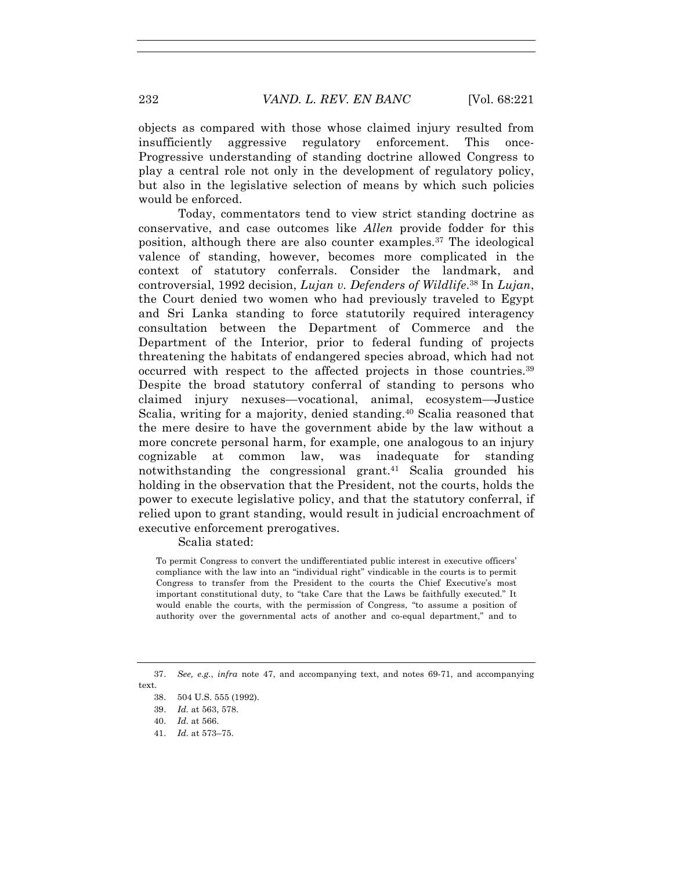objects as compared with those whose claimed injury resulted from insufficiently aggressive regulatory enforcement. This once-Progressive understanding of standing doctrine allowed Congress to play a central role not only in the development of regulatory policy, but also in the legislative selection of means by which such policies would be enforced.

Today, commentators tend to view strict standing doctrine as conservative, and case outcomes like *Allen* provide fodder for this position, although there are also counter examples.37 The ideological valence of standing, however, becomes more complicated in the context of statutory conferrals. Consider the landmark, and controversial, 1992 decision, *Lujan v. Defenders of Wildlife*. <sup>38</sup> In *Lujan*, the Court denied two women who had previously traveled to Egypt and Sri Lanka standing to force statutorily required interagency consultation between the Department of Commerce and the Department of the Interior, prior to federal funding of projects threatening the habitats of endangered species abroad, which had not occurred with respect to the affected projects in those countries.39 Despite the broad statutory conferral of standing to persons who claimed injury nexuses—vocational, animal, ecosystem—Justice Scalia, writing for a majority, denied standing.40 Scalia reasoned that the mere desire to have the government abide by the law without a more concrete personal harm, for example, one analogous to an injury cognizable at common law, was inadequate for standing notwithstanding the congressional grant.41 Scalia grounded his holding in the observation that the President, not the courts, holds the power to execute legislative policy, and that the statutory conferral, if relied upon to grant standing, would result in judicial encroachment of executive enforcement prerogatives.

Scalia stated:

To permit Congress to convert the undifferentiated public interest in executive officers' compliance with the law into an "individual right" vindicable in the courts is to permit Congress to transfer from the President to the courts the Chief Executive's most important constitutional duty, to "take Care that the Laws be faithfully executed." It would enable the courts, with the permission of Congress, "to assume a position of authority over the governmental acts of another and co-equal department," and to

41. *Id.* at 573–75.

<sup>37.</sup> *See, e.g.*, *infra* note 47, and accompanying text, and notes 69-71, and accompanying text.

<sup>38.</sup> 504 U.S. 555 (1992).

<sup>39.</sup> *Id.* at 563, 578.

<sup>40.</sup> *Id.* at 566.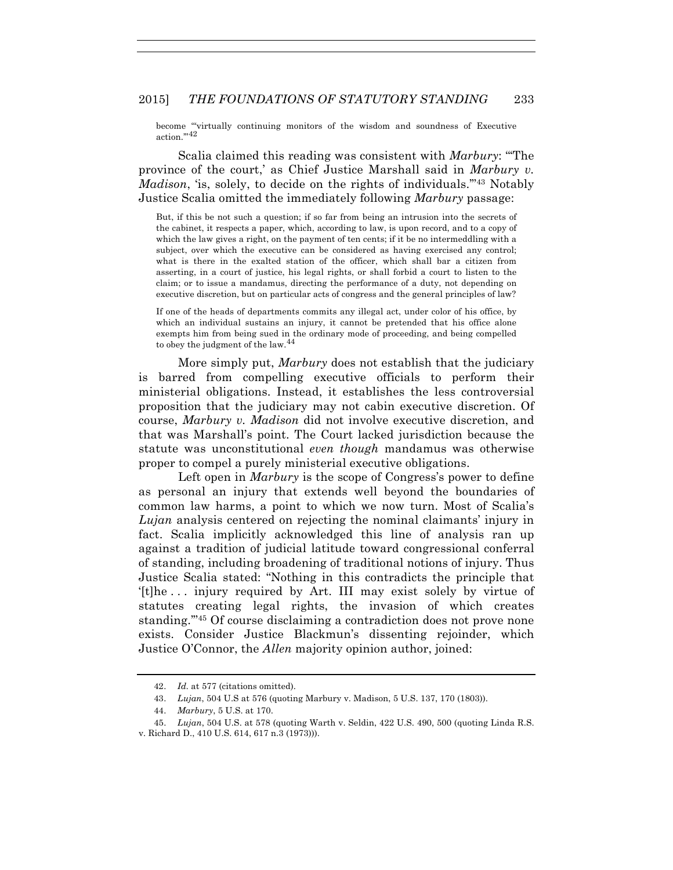become "'virtually continuing monitors of the wisdom and soundness of Executive action.""42

Scalia claimed this reading was consistent with *Marbury*: "'The province of the court,' as Chief Justice Marshall said in *Marbury v. Madison*, 'is, solely, to decide on the rights of individuals.'"43 Notably Justice Scalia omitted the immediately following *Marbury* passage:

But, if this be not such a question; if so far from being an intrusion into the secrets of the cabinet, it respects a paper, which, according to law, is upon record, and to a copy of which the law gives a right, on the payment of ten cents; if it be no intermeddling with a subject, over which the executive can be considered as having exercised any control; what is there in the exalted station of the officer, which shall bar a citizen from asserting, in a court of justice, his legal rights, or shall forbid a court to listen to the claim; or to issue a mandamus, directing the performance of a duty, not depending on executive discretion, but on particular acts of congress and the general principles of law?

If one of the heads of departments commits any illegal act, under color of his office, by which an individual sustains an injury, it cannot be pretended that his office alone exempts him from being sued in the ordinary mode of proceeding, and being compelled to obey the judgment of the law.<sup>44</sup>

More simply put, *Marbury* does not establish that the judiciary is barred from compelling executive officials to perform their ministerial obligations. Instead, it establishes the less controversial proposition that the judiciary may not cabin executive discretion. Of course, *Marbury v. Madison* did not involve executive discretion, and that was Marshall's point. The Court lacked jurisdiction because the statute was unconstitutional *even though* mandamus was otherwise proper to compel a purely ministerial executive obligations.

Left open in *Marbury* is the scope of Congress's power to define as personal an injury that extends well beyond the boundaries of common law harms, a point to which we now turn. Most of Scalia's *Lujan* analysis centered on rejecting the nominal claimants' injury in fact. Scalia implicitly acknowledged this line of analysis ran up against a tradition of judicial latitude toward congressional conferral of standing, including broadening of traditional notions of injury. Thus Justice Scalia stated: "Nothing in this contradicts the principle that '[t]he . . . injury required by Art. III may exist solely by virtue of statutes creating legal rights, the invasion of which creates standing.'"45 Of course disclaiming a contradiction does not prove none exists. Consider Justice Blackmun's dissenting rejoinder, which Justice O'Connor, the *Allen* majority opinion author, joined:

<sup>42.</sup> *Id.* at 577 (citations omitted).

<sup>43.</sup> *Lujan*, 504 U.S at 576 (quoting Marbury v. Madison, 5 U.S. 137, 170 (1803)).

<sup>44.</sup> *Marbury*, 5 U.S. at 170.

<sup>45.</sup> *Lujan*, 504 U.S. at 578 (quoting Warth v. Seldin, 422 U.S. 490, 500 (quoting Linda R.S. v. Richard D., 410 U.S. 614, 617 n.3 (1973))).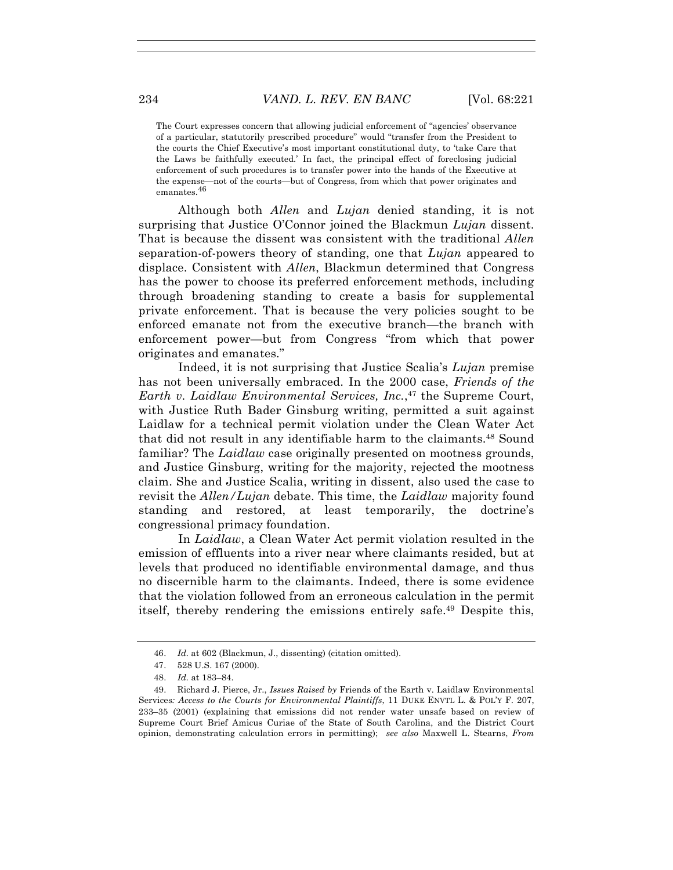The Court expresses concern that allowing judicial enforcement of "agencies' observance of a particular, statutorily prescribed procedure" would "transfer from the President to the courts the Chief Executive's most important constitutional duty, to 'take Care that the Laws be faithfully executed.' In fact, the principal effect of foreclosing judicial enforcement of such procedures is to transfer power into the hands of the Executive at the expense—not of the courts—but of Congress, from which that power originates and emanates.<sup>46</sup>

Although both *Allen* and *Lujan* denied standing, it is not surprising that Justice O'Connor joined the Blackmun *Lujan* dissent. That is because the dissent was consistent with the traditional *Allen*  separation-of-powers theory of standing, one that *Lujan* appeared to displace. Consistent with *Allen*, Blackmun determined that Congress has the power to choose its preferred enforcement methods, including through broadening standing to create a basis for supplemental private enforcement. That is because the very policies sought to be enforced emanate not from the executive branch—the branch with enforcement power—but from Congress "from which that power originates and emanates."

Indeed, it is not surprising that Justice Scalia's *Lujan* premise has not been universally embraced. In the 2000 case, *Friends of the Earth v. Laidlaw Environmental Services, Inc.*, <sup>47</sup> the Supreme Court, with Justice Ruth Bader Ginsburg writing, permitted a suit against Laidlaw for a technical permit violation under the Clean Water Act that did not result in any identifiable harm to the claimants.48 Sound familiar? The *Laidlaw* case originally presented on mootness grounds, and Justice Ginsburg, writing for the majority, rejected the mootness claim. She and Justice Scalia, writing in dissent, also used the case to revisit the *Allen/Lujan* debate. This time, the *Laidlaw* majority found standing and restored, at least temporarily, the doctrine's congressional primacy foundation.

In *Laidlaw*, a Clean Water Act permit violation resulted in the emission of effluents into a river near where claimants resided, but at levels that produced no identifiable environmental damage, and thus no discernible harm to the claimants. Indeed, there is some evidence that the violation followed from an erroneous calculation in the permit itself, thereby rendering the emissions entirely safe.49 Despite this,

<sup>46.</sup> *Id.* at 602 (Blackmun, J., dissenting) (citation omitted).

<sup>47.</sup> 528 U.S. 167 (2000).

<sup>48.</sup> *Id.* at 183–84.

<sup>49.</sup> Richard J. Pierce, Jr., *Issues Raised by* Friends of the Earth v. Laidlaw Environmental Services*: Access to the Courts for Environmental Plaintiffs*, 11 DUKE ENVTL L. & POL'Y F. 207, 233–35 (2001) (explaining that emissions did not render water unsafe based on review of Supreme Court Brief Amicus Curiae of the State of South Carolina, and the District Court opinion, demonstrating calculation errors in permitting); *see also* Maxwell L. Stearns, *From*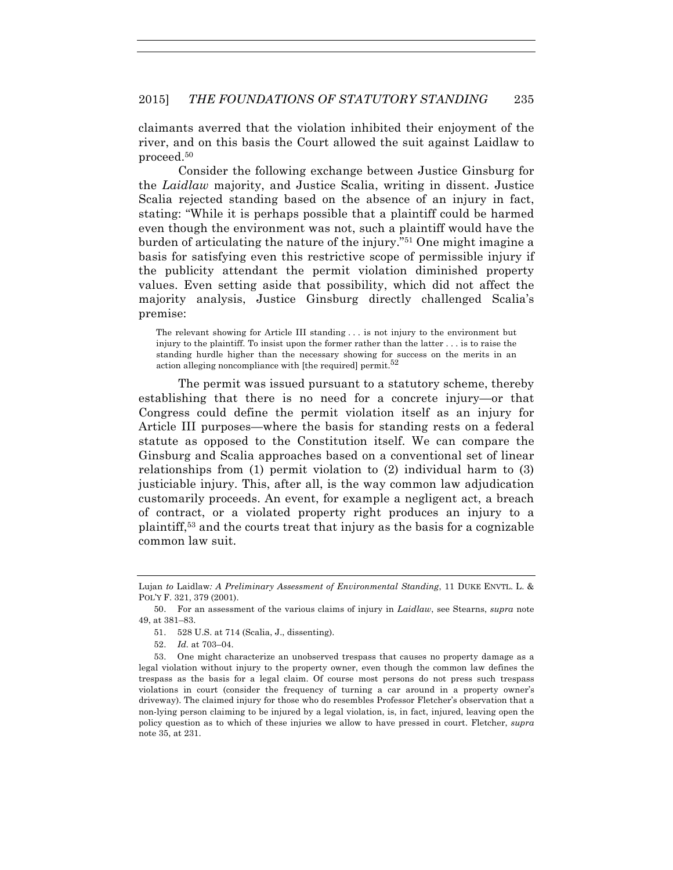claimants averred that the violation inhibited their enjoyment of the river, and on this basis the Court allowed the suit against Laidlaw to proceed.50

Consider the following exchange between Justice Ginsburg for the *Laidlaw* majority, and Justice Scalia, writing in dissent. Justice Scalia rejected standing based on the absence of an injury in fact, stating: "While it is perhaps possible that a plaintiff could be harmed even though the environment was not, such a plaintiff would have the burden of articulating the nature of the injury."51 One might imagine a basis for satisfying even this restrictive scope of permissible injury if the publicity attendant the permit violation diminished property values. Even setting aside that possibility, which did not affect the majority analysis, Justice Ginsburg directly challenged Scalia's premise:

The relevant showing for Article III standing . . . is not injury to the environment but injury to the plaintiff. To insist upon the former rather than the latter . . . is to raise the standing hurdle higher than the necessary showing for success on the merits in an action alleging noncompliance with [the required] permit.<sup>52</sup>

The permit was issued pursuant to a statutory scheme, thereby establishing that there is no need for a concrete injury—or that Congress could define the permit violation itself as an injury for Article III purposes—where the basis for standing rests on a federal statute as opposed to the Constitution itself. We can compare the Ginsburg and Scalia approaches based on a conventional set of linear relationships from (1) permit violation to (2) individual harm to (3) justiciable injury. This, after all, is the way common law adjudication customarily proceeds. An event, for example a negligent act, a breach of contract, or a violated property right produces an injury to a plaintiff,53 and the courts treat that injury as the basis for a cognizable common law suit.

- 51. 528 U.S. at 714 (Scalia, J., dissenting).
- 52. *Id.* at 703–04.

Lujan *to* Laidlaw*: A Preliminary Assessment of Environmental Standing*, 11 DUKE ENVTL. L. & POL'Y F. 321, 379 (2001).

<sup>50.</sup> For an assessment of the various claims of injury in *Laidlaw*, see Stearns, *supra* note 49, at 381–83.

<sup>53.</sup> One might characterize an unobserved trespass that causes no property damage as a legal violation without injury to the property owner, even though the common law defines the trespass as the basis for a legal claim. Of course most persons do not press such trespass violations in court (consider the frequency of turning a car around in a property owner's driveway). The claimed injury for those who do resembles Professor Fletcher's observation that a non-lying person claiming to be injured by a legal violation, is, in fact, injured, leaving open the policy question as to which of these injuries we allow to have pressed in court. Fletcher, *supra*  note 35, at 231.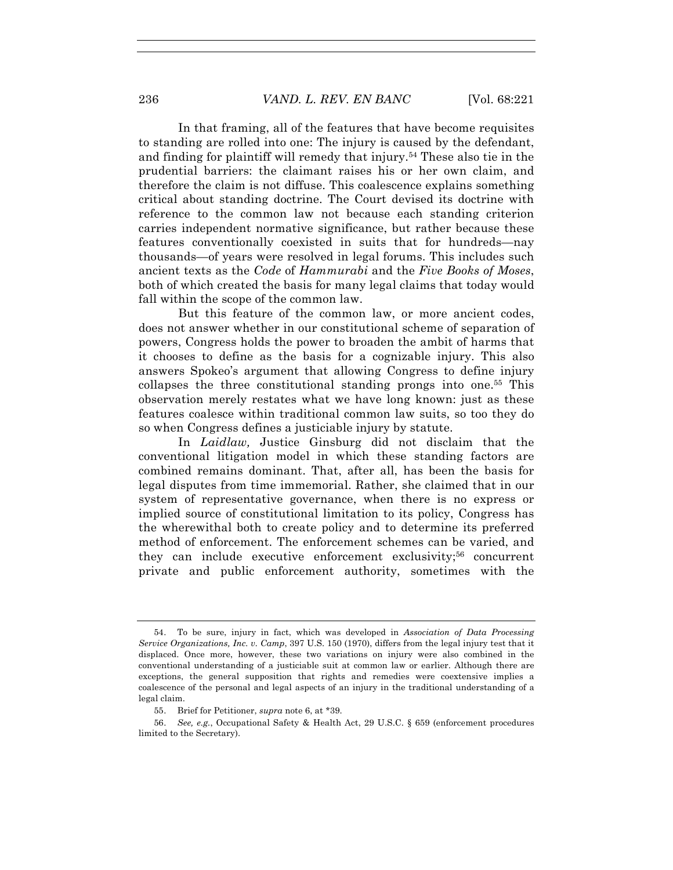In that framing, all of the features that have become requisites to standing are rolled into one: The injury is caused by the defendant, and finding for plaintiff will remedy that injury.54 These also tie in the prudential barriers: the claimant raises his or her own claim, and therefore the claim is not diffuse. This coalescence explains something critical about standing doctrine. The Court devised its doctrine with reference to the common law not because each standing criterion carries independent normative significance, but rather because these features conventionally coexisted in suits that for hundreds—nay thousands—of years were resolved in legal forums. This includes such ancient texts as the *Code* of *Hammurabi* and the *Five Books of Moses*, both of which created the basis for many legal claims that today would fall within the scope of the common law.

But this feature of the common law, or more ancient codes, does not answer whether in our constitutional scheme of separation of powers, Congress holds the power to broaden the ambit of harms that it chooses to define as the basis for a cognizable injury. This also answers Spokeo's argument that allowing Congress to define injury collapses the three constitutional standing prongs into one.55 This observation merely restates what we have long known: just as these features coalesce within traditional common law suits, so too they do so when Congress defines a justiciable injury by statute.

In *Laidlaw,* Justice Ginsburg did not disclaim that the conventional litigation model in which these standing factors are combined remains dominant. That, after all, has been the basis for legal disputes from time immemorial. Rather, she claimed that in our system of representative governance, when there is no express or implied source of constitutional limitation to its policy, Congress has the wherewithal both to create policy and to determine its preferred method of enforcement. The enforcement schemes can be varied, and they can include executive enforcement exclusivity;56 concurrent private and public enforcement authority, sometimes with the

<sup>54.</sup> To be sure, injury in fact, which was developed in *Association of Data Processing Service Organizations, Inc. v. Camp*, 397 U.S. 150 (1970), differs from the legal injury test that it displaced. Once more, however, these two variations on injury were also combined in the conventional understanding of a justiciable suit at common law or earlier. Although there are exceptions, the general supposition that rights and remedies were coextensive implies a coalescence of the personal and legal aspects of an injury in the traditional understanding of a legal claim.

<sup>55.</sup> Brief for Petitioner, *supra* note 6, at \*39.

<sup>56.</sup> *See, e.g.*, Occupational Safety & Health Act, 29 U.S.C. § 659 (enforcement procedures limited to the Secretary).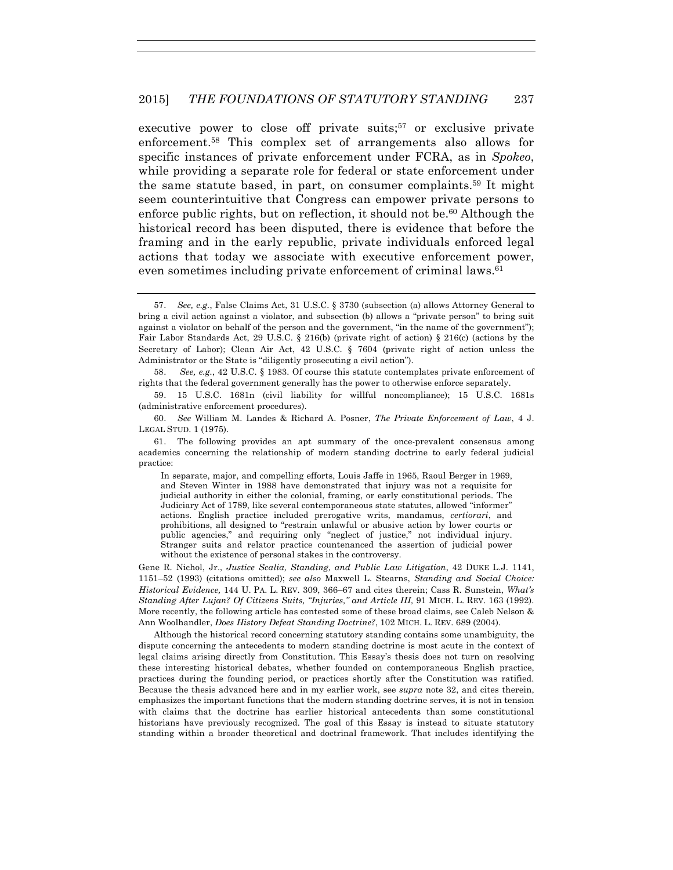executive power to close off private suits;<sup>57</sup> or exclusive private enforcement.58 This complex set of arrangements also allows for specific instances of private enforcement under FCRA, as in *Spokeo*, while providing a separate role for federal or state enforcement under the same statute based, in part, on consumer complaints.59 It might seem counterintuitive that Congress can empower private persons to enforce public rights, but on reflection, it should not be.<sup>60</sup> Although the historical record has been disputed, there is evidence that before the framing and in the early republic, private individuals enforced legal actions that today we associate with executive enforcement power, even sometimes including private enforcement of criminal laws.<sup>61</sup>

Gene R. Nichol, Jr., *Justice Scalia, Standing, and Public Law Litigation*, 42 DUKE L.J. 1141, 1151–52 (1993) (citations omitted); *see also* Maxwell L. Stearns, *Standing and Social Choice: Historical Evidence,* 144 U. PA. L. REV. 309, 366–67 and cites therein; Cass R. Sunstein, *What's Standing After Lujan? Of Citizens Suits, "Injuries," and Article III,* 91 MICH. L. REV. 163 (1992). More recently, the following article has contested some of these broad claims, see Caleb Nelson & Ann Woolhandler, *Does History Defeat Standing Doctrine?*, 102 MICH. L. REV. 689 (2004).

Although the historical record concerning statutory standing contains some unambiguity, the dispute concerning the antecedents to modern standing doctrine is most acute in the context of legal claims arising directly from Constitution. This Essay's thesis does not turn on resolving these interesting historical debates, whether founded on contemporaneous English practice, practices during the founding period, or practices shortly after the Constitution was ratified. Because the thesis advanced here and in my earlier work, see *supra* note 32, and cites therein, emphasizes the important functions that the modern standing doctrine serves, it is not in tension with claims that the doctrine has earlier historical antecedents than some constitutional historians have previously recognized. The goal of this Essay is instead to situate statutory standing within a broader theoretical and doctrinal framework. That includes identifying the

<sup>57.</sup> *See, e.g.*, False Claims Act, 31 U.S.C. § 3730 (subsection (a) allows Attorney General to bring a civil action against a violator, and subsection (b) allows a "private person" to bring suit against a violator on behalf of the person and the government, "in the name of the government"); Fair Labor Standards Act, 29 U.S.C. § 216(b) (private right of action) § 216(c) (actions by the Secretary of Labor); Clean Air Act, 42 U.S.C. § 7604 (private right of action unless the Administrator or the State is "diligently prosecuting a civil action").

<sup>58.</sup> *See, e.g.*, 42 U.S.C. § 1983. Of course this statute contemplates private enforcement of rights that the federal government generally has the power to otherwise enforce separately.

<sup>59.</sup> 15 U.S.C. 1681n (civil liability for willful noncompliance); 15 U.S.C. 1681s (administrative enforcement procedures).

<sup>60.</sup> *See* William M. Landes & Richard A. Posner, *The Private Enforcement of Law*, 4 J. LEGAL STUD. 1 (1975).

<sup>61.</sup> The following provides an apt summary of the once-prevalent consensus among academics concerning the relationship of modern standing doctrine to early federal judicial practice:

In separate, major, and compelling efforts, Louis Jaffe in 1965, Raoul Berger in 1969, and Steven Winter in 1988 have demonstrated that injury was not a requisite for judicial authority in either the colonial, framing, or early constitutional periods. The Judiciary Act of 1789, like several contemporaneous state statutes, allowed "informer" actions. English practice included prerogative writs, mandamus, *certiorari*, and prohibitions, all designed to "restrain unlawful or abusive action by lower courts or public agencies," and requiring only "neglect of justice," not individual injury. Stranger suits and relator practice countenanced the assertion of judicial power without the existence of personal stakes in the controversy.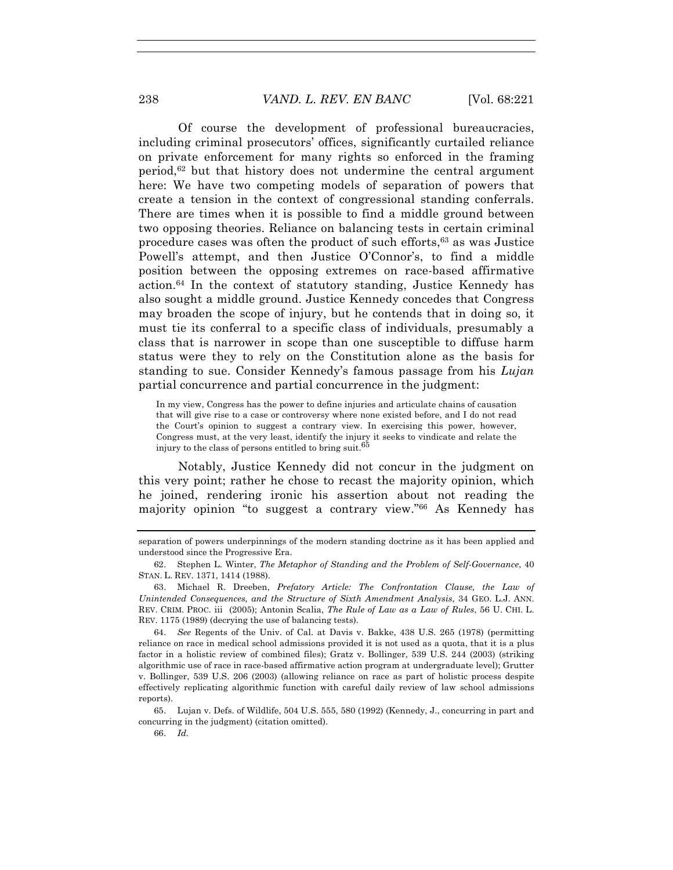Of course the development of professional bureaucracies, including criminal prosecutors' offices, significantly curtailed reliance on private enforcement for many rights so enforced in the framing period, $62$  but that history does not undermine the central argument here: We have two competing models of separation of powers that create a tension in the context of congressional standing conferrals. There are times when it is possible to find a middle ground between two opposing theories. Reliance on balancing tests in certain criminal procedure cases was often the product of such efforts,63 as was Justice Powell's attempt, and then Justice O'Connor's, to find a middle position between the opposing extremes on race-based affirmative  $\arctan^{64}$  In the context of statutory standing, Justice Kennedy has also sought a middle ground. Justice Kennedy concedes that Congress may broaden the scope of injury, but he contends that in doing so, it must tie its conferral to a specific class of individuals, presumably a class that is narrower in scope than one susceptible to diffuse harm status were they to rely on the Constitution alone as the basis for standing to sue. Consider Kennedy's famous passage from his *Lujan* partial concurrence and partial concurrence in the judgment:

In my view, Congress has the power to define injuries and articulate chains of causation that will give rise to a case or controversy where none existed before, and I do not read the Court's opinion to suggest a contrary view. In exercising this power, however, Congress must, at the very least, identify the injury it seeks to vindicate and relate the injury to the class of persons entitled to bring suit.<sup>65</sup>

Notably, Justice Kennedy did not concur in the judgment on this very point; rather he chose to recast the majority opinion, which he joined, rendering ironic his assertion about not reading the majority opinion "to suggest a contrary view."66 As Kennedy has

separation of powers underpinnings of the modern standing doctrine as it has been applied and understood since the Progressive Era.

<sup>62.</sup> Stephen L. Winter, *The Metaphor of Standing and the Problem of Self-Governance*, 40 STAN. L. REV. 1371, 1414 (1988).

<sup>63.</sup> Michael R. Dreeben, *Prefatory Article: The Confrontation Clause, the Law of Unintended Consequences, and the Structure of Sixth Amendment Analysis*, 34 GEO. L.J. ANN. REV. CRIM. PROC. iii (2005); Antonin Scalia, *The Rule of Law as a Law of Rules*, 56 U. CHI. L. REV. 1175 (1989) (decrying the use of balancing tests).

<sup>64.</sup> *See* Regents of the Univ. of Cal. at Davis v. Bakke, 438 U.S. 265 (1978) (permitting reliance on race in medical school admissions provided it is not used as a quota, that it is a plus factor in a holistic review of combined files); Gratz v. Bollinger, 539 U.S. 244 (2003) (striking algorithmic use of race in race-based affirmative action program at undergraduate level); Grutter v. Bollinger, 539 U.S. 206 (2003) (allowing reliance on race as part of holistic process despite effectively replicating algorithmic function with careful daily review of law school admissions reports).

<sup>65.</sup> Lujan v. Defs. of Wildlife, 504 U.S. 555, 580 (1992) (Kennedy, J., concurring in part and concurring in the judgment) (citation omitted).

<sup>66.</sup> *Id.*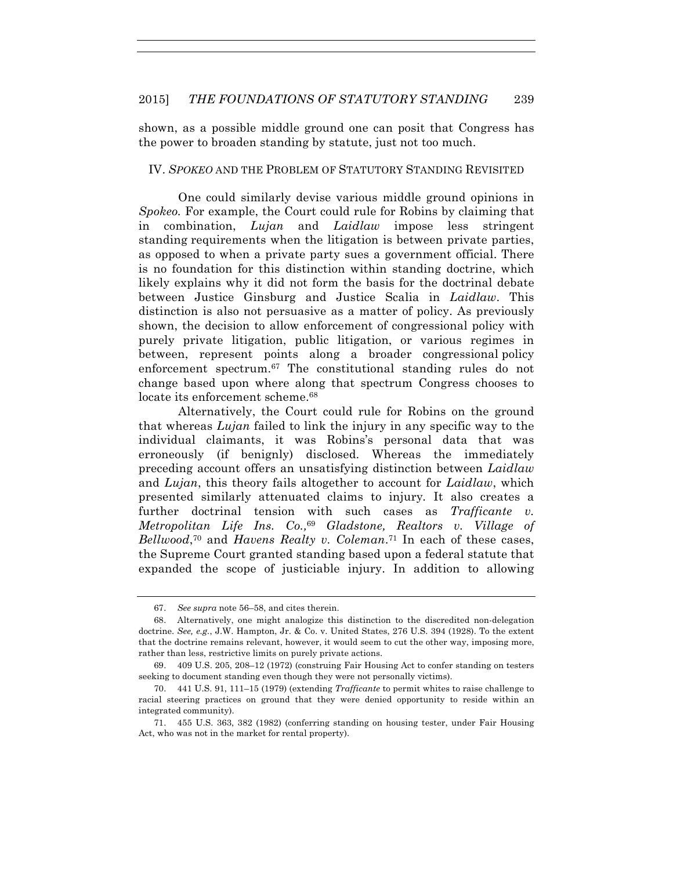shown, as a possible middle ground one can posit that Congress has the power to broaden standing by statute, just not too much.

#### IV. *SPOKEO* AND THE PROBLEM OF STATUTORY STANDING REVISITED

One could similarly devise various middle ground opinions in *Spokeo.* For example, the Court could rule for Robins by claiming that in combination, *Lujan* and *Laidlaw* impose less stringent standing requirements when the litigation is between private parties, as opposed to when a private party sues a government official. There is no foundation for this distinction within standing doctrine, which likely explains why it did not form the basis for the doctrinal debate between Justice Ginsburg and Justice Scalia in *Laidlaw*. This distinction is also not persuasive as a matter of policy. As previously shown, the decision to allow enforcement of congressional policy with purely private litigation, public litigation, or various regimes in between, represent points along a broader congressional policy enforcement spectrum.67 The constitutional standing rules do not change based upon where along that spectrum Congress chooses to locate its enforcement scheme.<sup>68</sup>

Alternatively, the Court could rule for Robins on the ground that whereas *Lujan* failed to link the injury in any specific way to the individual claimants, it was Robins's personal data that was erroneously (if benignly) disclosed. Whereas the immediately preceding account offers an unsatisfying distinction between *Laidlaw*  and *Lujan*, this theory fails altogether to account for *Laidlaw*, which presented similarly attenuated claims to injury*.* It also creates a further doctrinal tension with such cases as *Trafficante v. Metropolitan Life Ins. Co.,*<sup>69</sup> *Gladstone, Realtors v. Village of Bellwood*, <sup>70</sup> and *Havens Realty v. Coleman*.71 In each of these cases, the Supreme Court granted standing based upon a federal statute that expanded the scope of justiciable injury. In addition to allowing

<sup>67.</sup> *See supra* note 56–58, and cites therein.

<sup>68.</sup> Alternatively, one might analogize this distinction to the discredited non-delegation doctrine. *See, e.g.*, J.W. Hampton, Jr. & Co. v. United States, 276 U.S. 394 (1928). To the extent that the doctrine remains relevant, however, it would seem to cut the other way, imposing more, rather than less, restrictive limits on purely private actions.

<sup>69.</sup> 409 U.S. 205, 208–12 (1972) (construing Fair Housing Act to confer standing on testers seeking to document standing even though they were not personally victims).

<sup>70.</sup> 441 U.S. 91, 111–15 (1979) (extending *Trafficante* to permit whites to raise challenge to racial steering practices on ground that they were denied opportunity to reside within an integrated community).

<sup>71.</sup> 455 U.S. 363, 382 (1982) (conferring standing on housing tester, under Fair Housing Act, who was not in the market for rental property).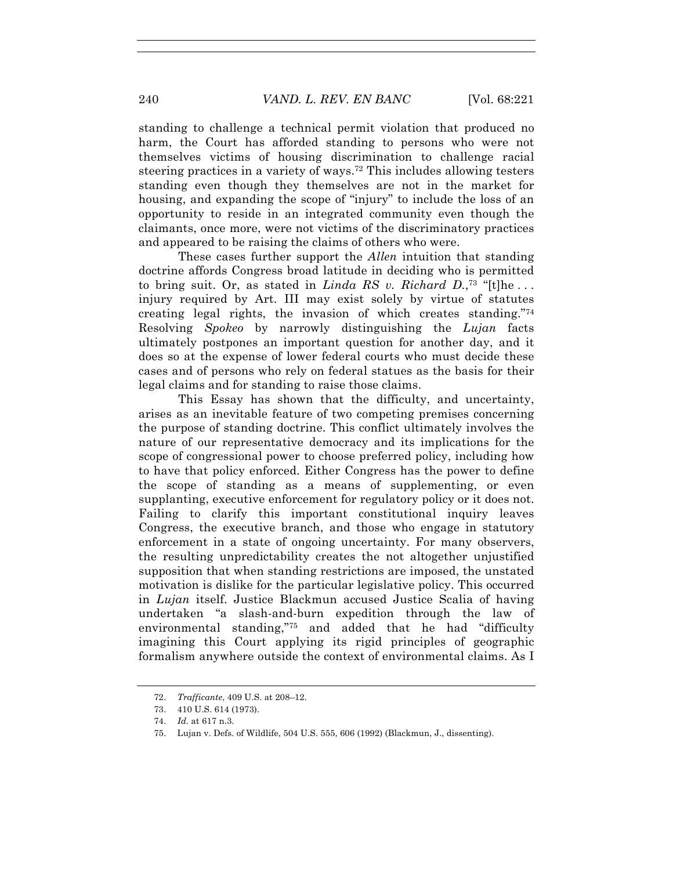standing to challenge a technical permit violation that produced no harm, the Court has afforded standing to persons who were not themselves victims of housing discrimination to challenge racial steering practices in a variety of ways.72 This includes allowing testers standing even though they themselves are not in the market for housing, and expanding the scope of "injury" to include the loss of an opportunity to reside in an integrated community even though the claimants, once more, were not victims of the discriminatory practices and appeared to be raising the claims of others who were.

These cases further support the *Allen* intuition that standing doctrine affords Congress broad latitude in deciding who is permitted to bring suit. Or, as stated in *Linda RS v. Richard D.*, <sup>73</sup> "[t]he . . . injury required by Art. III may exist solely by virtue of statutes creating legal rights, the invasion of which creates standing."74 Resolving *Spokeo* by narrowly distinguishing the *Lujan* facts ultimately postpones an important question for another day, and it does so at the expense of lower federal courts who must decide these cases and of persons who rely on federal statues as the basis for their legal claims and for standing to raise those claims.

This Essay has shown that the difficulty, and uncertainty, arises as an inevitable feature of two competing premises concerning the purpose of standing doctrine. This conflict ultimately involves the nature of our representative democracy and its implications for the scope of congressional power to choose preferred policy, including how to have that policy enforced. Either Congress has the power to define the scope of standing as a means of supplementing, or even supplanting, executive enforcement for regulatory policy or it does not. Failing to clarify this important constitutional inquiry leaves Congress, the executive branch, and those who engage in statutory enforcement in a state of ongoing uncertainty. For many observers, the resulting unpredictability creates the not altogether unjustified supposition that when standing restrictions are imposed, the unstated motivation is dislike for the particular legislative policy. This occurred in *Lujan* itself. Justice Blackmun accused Justice Scalia of having undertaken "a slash-and-burn expedition through the law of environmental standing,"75 and added that he had "difficulty imagining this Court applying its rigid principles of geographic formalism anywhere outside the context of environmental claims. As I

<sup>72.</sup> *Trafficante*, 409 U.S. at 208–12.

<sup>73.</sup> 410 U.S. 614 (1973).

<sup>74.</sup> *Id.* at 617 n.3.

<sup>75.</sup> Lujan v. Defs. of Wildlife, 504 U.S. 555, 606 (1992) (Blackmun, J., dissenting).